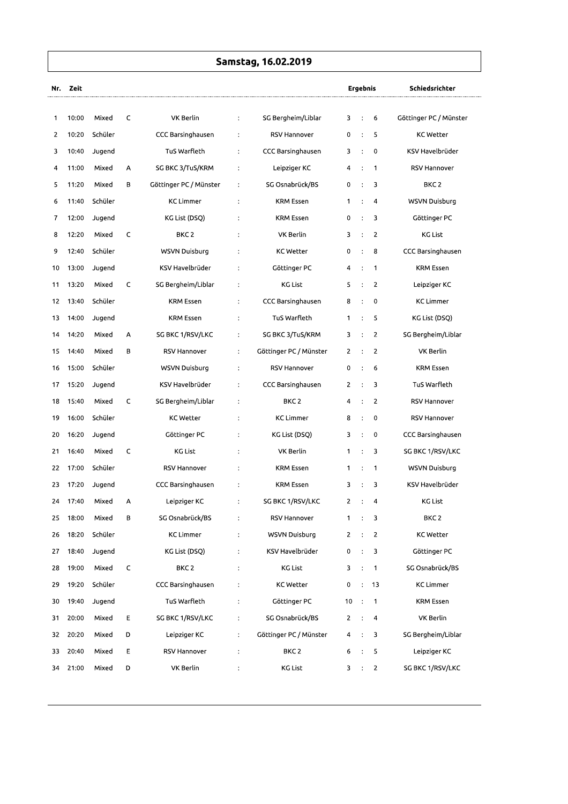## Samstag, 16.02.2019

| Nr. | Zeit  |         |   |                        |                |                        |                | Ergebnis             |                         | Schiedsrichter         |
|-----|-------|---------|---|------------------------|----------------|------------------------|----------------|----------------------|-------------------------|------------------------|
| 1   | 10:00 | Mixed   | C | VK Berlin              | $\ddot{\cdot}$ | SG Bergheim/Liblar     | 3              | ÷                    | 6                       | Göttinger PC / Münster |
| 2   | 10:20 | Schüler |   | CCC Barsinghausen      | $\ddot{\cdot}$ | <b>RSV Hannover</b>    | 0              | $\ddot{\cdot}$       | 5                       | KC Wetter              |
| 3   | 10:40 | Jugend  |   | TuS Warfleth           | $\ddot{\cdot}$ | CCC Barsinghausen      | 3              | $\ddot{\cdot}$       | 0                       | KSV Havelbrüder        |
| 4   | 11:00 | Mixed   | А | SG BKC 3/TuS/KRM       | $\ddot{\cdot}$ | Leipziger KC           | 4              | $\ddot{\cdot}$       | $\mathbf 1$             | RSV Hannover           |
| 5   | 11:20 | Mixed   | В | Göttinger PC / Münster | $\ddot{\cdot}$ | SG Osnabrück/BS        | 0              | $\ddot{\cdot}$       | 3                       | BKC <sub>2</sub>       |
| 6   | 11:40 | Schüler |   | <b>KC Limmer</b>       | $\ddot{\cdot}$ | <b>KRM Essen</b>       | 1              | $\ddot{\cdot}$       | 4                       | WSVN Duisburg          |
| 7   | 12:00 | Jugend  |   | KG List (DSQ)          | $\ddot{\cdot}$ | <b>KRM Essen</b>       | 0              | $\ddot{\cdot}$       | 3                       | Göttinger PC           |
| 8   | 12:20 | Mixed   | C | BKC <sub>2</sub>       | $\ddot{\cdot}$ | VK Berlin              | 3              | $\ddot{\phantom{a}}$ | $\overline{2}$          | <b>KG List</b>         |
| 9   | 12:40 | Schüler |   | WSVN Duisburg          | $\ddot{\cdot}$ | <b>KC Wetter</b>       | 0              | $\ddot{ }$           | 8                       | CCC Barsinghausen      |
| 10  | 13:00 | Jugend  |   | KSV Havelbrüder        | ÷              | Göttinger PC           | 4              | $\ddot{\cdot}$       | $\mathbf 1$             | KRM Essen              |
| 11  | 13:20 | Mixed   | C | SG Bergheim/Liblar     | $\ddot{\cdot}$ | KG List                | 5              | $\ddot{\cdot}$       | $\overline{2}$          | Leipziger KC           |
| 12  | 13:40 | Schüler |   | <b>KRM Essen</b>       | $\ddot{\cdot}$ | CCC Barsinghausen      | 8              | $\ddot{\cdot}$       | 0                       | KC Limmer              |
| 13  | 14:00 | Jugend  |   | <b>KRM Essen</b>       | $\ddot{\cdot}$ | TuS Warfleth           | $\mathbf{1}$   | $\ddot{\cdot}$       | 5                       | KG List (DSQ)          |
| 14  | 14:20 | Mixed   | А | SG BKC 1/RSV/LKC       | $\ddot{\cdot}$ | SG BKC 3/TuS/KRM       | 3              | $\ddot{\cdot}$       | $\overline{c}$          | SG Bergheim/Liblar     |
| 15  | 14:40 | Mixed   | в | <b>RSV Hannover</b>    | $\ddot{\cdot}$ | Göttinger PC / Münster | 2              | $\ddot{\cdot}$       | $\overline{2}$          | VK Berlin              |
| 16  | 15:00 | Schüler |   | WSVN Duisburg          | $\ddot{\cdot}$ | RSV Hannover           | 0              |                      | 6                       | KRM Essen              |
| 17  | 15:20 | Jugend  |   | KSV Havelbrüder        | $\ddot{\cdot}$ | CCC Barsinghausen      | 2              | $\ddot{\cdot}$       | 3                       | TuS Warfleth           |
| 18  | 15:40 | Mixed   | C | SG Bergheim/Liblar     | $\ddot{\cdot}$ | BKC <sub>2</sub>       | 4              | $\ddot{\cdot}$       | $\overline{c}$          | RSV Hannover           |
| 19  | 16:00 | Schüler |   | <b>KC Wetter</b>       | $\ddot{\cdot}$ | <b>KC Limmer</b>       | 8              | $\ddot{\phantom{a}}$ | 0                       | RSV Hannover           |
| 20  | 16:20 | Jugend  |   | Göttinger PC           | $\ddot{\cdot}$ | KG List (DSQ)          | 3              | $\ddot{\cdot}$       | 0                       | CCC Barsinghausen      |
| 21  | 16:40 | Mixed   | C | <b>KG List</b>         | $\ddot{\cdot}$ | VK Berlin              | 1              | $\ddot{\cdot}$       | 3                       | SG BKC 1/RSV/LKC       |
| 22  | 17:00 | Schüler |   | RSV Hannover           | $\ddot{\cdot}$ | <b>KRM Essen</b>       | 1              | $\ddot{\cdot}$       | 1                       | WSVN Duisburg          |
| 23  | 17:20 | Jugend  |   | CCC Barsinghausen      | $\ddot{\cdot}$ | <b>KRM Essen</b>       | 3              |                      | 3                       | KSV Havelbrüder        |
| 24  | 17:40 | Mixed   | А | Leipziger KC           | ÷              | SG BKC 1/RSV/LKC       | $\overline{2}$ | $\ddot{\cdot}$       | 4                       | <b>KG List</b>         |
| 25  | 18:00 | Mixed   | В | SG Osnabrück/BS        | $\ddot{\cdot}$ | RSV Hannover           | $\mathbf{1}$   | $\ddot{\cdot}$       | 3                       | BKC <sub>2</sub>       |
| 26  | 18:20 | Schüler |   | <b>KC Limmer</b>       | $\ddot{\cdot}$ | WSVN Duisburg          | $\overline{2}$ | $\ddot{\cdot}$       | $\overline{2}$          | KC Wetter              |
| 27  | 18:40 | Jugend  |   | KG List (DSQ)          | $\ddot{\cdot}$ | KSV Havelbrüder        | 0              |                      | $\therefore$ 3          | Göttinger PC           |
| 28  | 19:00 | Mixed   | C | BKC <sub>2</sub>       | $\ddot{\cdot}$ | <b>KG List</b>         | 3              | $\ddot{\cdot}$       | $\overline{1}$          | SG Osnabrück/BS        |
| 29  | 19:20 | Schüler |   | CCC Barsinghausen      | $\ddot{\cdot}$ | <b>KC Wetter</b>       | 0              | $\ddot{\cdot}$       | 13                      | KC Limmer              |
| 30  | 19:40 | Jugend  |   | TuS Warfleth           | $\ddot{\cdot}$ | Göttinger PC           | 10             | $\ddot{\cdot}$       | 1                       | KRM Essen              |
| 31  | 20:00 | Mixed   | Е | SG BKC 1/RSV/LKC       | $\ddot{\cdot}$ | SG Osnabrück/BS        | $\overline{2}$ | $\ddot{\cdot}$       | $\overline{\mathbf{4}}$ | VK Berlin              |
| 32  | 20:20 | Mixed   | D | Leipziger KC           | $\ddot{\cdot}$ | Göttinger PC / Münster | 4              | $\ddot{\phantom{a}}$ | 3                       | SG Bergheim/Liblar     |
| 33  | 20:40 | Mixed   | E | <b>RSV Hannover</b>    | $\ddot{\cdot}$ | BKC <sub>2</sub>       | 6              | $\ddot{\cdot}$       | 5                       | Leipziger KC           |
| 34  | 21:00 | Mixed   | D | VK Berlin              | $\ddot{\cdot}$ | KG List                | 3              | $\ddot{\cdot}$       | $\overline{2}$          | SG BKC 1/RSV/LKC       |
|     |       |         |   |                        |                |                        |                |                      |                         |                        |